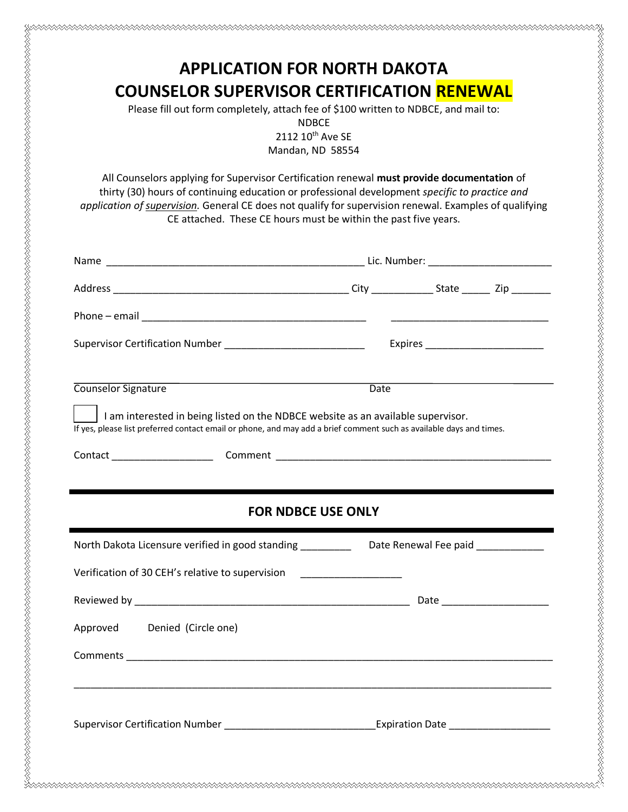Please fill out form completely, attach fee of \$100 written to NDBCE, and mail to:

NDBCE

2112 10<sup>th</sup> Ave SE Mandan, ND 58554

All Counselors applying for Supervisor Certification renewal **must provide documentation** of thirty (30) hours of continuing education or professional development *specific to practice and application of supervision.* General CE does not qualify for supervision renewal. Examples of qualifying CE attached. These CE hours must be within the past five years.

| Supervisor Certification Number _____________________________                                                                                                                                           | Expires ___________________________ |
|---------------------------------------------------------------------------------------------------------------------------------------------------------------------------------------------------------|-------------------------------------|
|                                                                                                                                                                                                         |                                     |
| Counselor Signature                                                                                                                                                                                     | <b>Date</b>                         |
| I am interested in being listed on the NDBCE website as an available supervisor.<br>If yes, please list preferred contact email or phone, and may add a brief comment such as available days and times. |                                     |
|                                                                                                                                                                                                         |                                     |
|                                                                                                                                                                                                         |                                     |
|                                                                                                                                                                                                         |                                     |
|                                                                                                                                                                                                         |                                     |
| <b>FOR NDBCE USE ONLY</b>                                                                                                                                                                               |                                     |
| North Dakota Licensure verified in good standing ___________ Date Renewal Fee paid ____________                                                                                                         |                                     |
| Verification of 30 CEH's relative to supervision _______________________                                                                                                                                |                                     |
|                                                                                                                                                                                                         |                                     |
| Approved<br>Denied (Circle one)                                                                                                                                                                         |                                     |
|                                                                                                                                                                                                         |                                     |
|                                                                                                                                                                                                         |                                     |
|                                                                                                                                                                                                         |                                     |
| Supervisor Certification Number _________________________________Expiration Date __________________                                                                                                     |                                     |